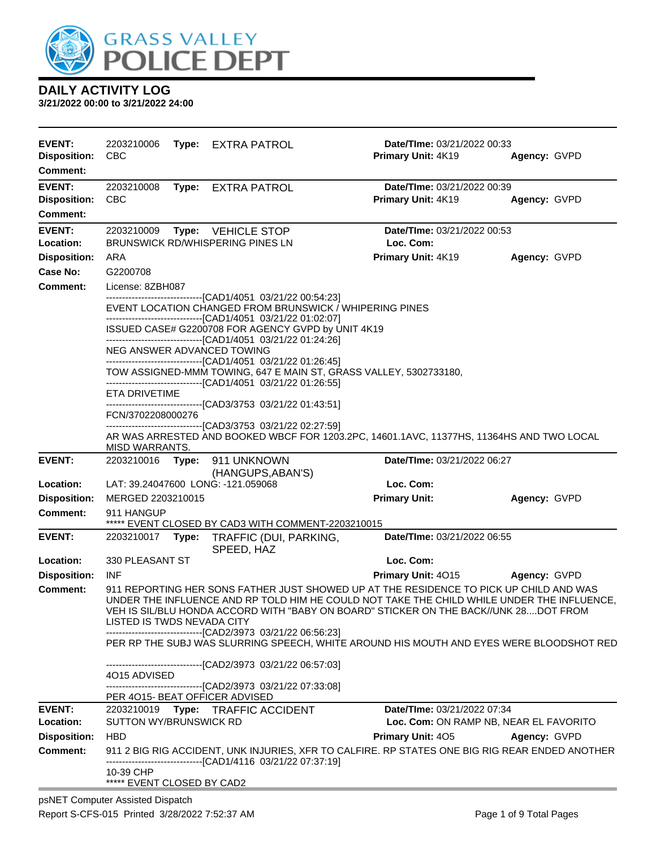

| <b>EVENT:</b><br><b>Disposition:</b><br>Comment: | 2203210006<br><b>CBC</b>                                                                |  | Type: EXTRA PATROL                                                                                                                                                                      | Date/TIme: 03/21/2022 00:33<br>Primary Unit: 4K19                                                                                                                                                                                                                            | Agency: GVPD                           |  |
|--------------------------------------------------|-----------------------------------------------------------------------------------------|--|-----------------------------------------------------------------------------------------------------------------------------------------------------------------------------------------|------------------------------------------------------------------------------------------------------------------------------------------------------------------------------------------------------------------------------------------------------------------------------|----------------------------------------|--|
| <b>EVENT:</b>                                    | 2203210008                                                                              |  | Type: EXTRA PATROL                                                                                                                                                                      | Date/TIme: 03/21/2022 00:39                                                                                                                                                                                                                                                  |                                        |  |
| <b>Disposition:</b>                              | <b>CBC</b>                                                                              |  |                                                                                                                                                                                         | Primary Unit: 4K19                                                                                                                                                                                                                                                           | Agency: GVPD                           |  |
| <b>Comment:</b>                                  |                                                                                         |  |                                                                                                                                                                                         |                                                                                                                                                                                                                                                                              |                                        |  |
| <b>EVENT:</b><br>Location:                       | 2203210009                                                                              |  | Type: VEHICLE STOP<br>BRUNSWICK RD/WHISPERING PINES LN                                                                                                                                  | Date/TIme: 03/21/2022 00:53<br>Loc. Com:                                                                                                                                                                                                                                     |                                        |  |
| <b>Disposition:</b>                              | ARA                                                                                     |  |                                                                                                                                                                                         | <b>Primary Unit: 4K19</b>                                                                                                                                                                                                                                                    | Agency: GVPD                           |  |
| Case No:                                         | G2200708                                                                                |  |                                                                                                                                                                                         |                                                                                                                                                                                                                                                                              |                                        |  |
| <b>Comment:</b>                                  | License: 8ZBH087                                                                        |  |                                                                                                                                                                                         |                                                                                                                                                                                                                                                                              |                                        |  |
|                                                  |                                                                                         |  | -------------------------------[CAD1/4051 03/21/22 00:54:23]<br>EVENT LOCATION CHANGED FROM BRUNSWICK / WHIPERING PINES<br>-------------------------------[CAD1/4051 03/21/22 01:02:07] |                                                                                                                                                                                                                                                                              |                                        |  |
|                                                  |                                                                                         |  | ISSUED CASE# G2200708 FOR AGENCY GVPD by UNIT 4K19<br>-------------------------------[CAD1/4051 03/21/22 01:24:26]                                                                      |                                                                                                                                                                                                                                                                              |                                        |  |
|                                                  |                                                                                         |  | NEG ANSWER ADVANCED TOWING<br>-------------------------------[CAD1/4051_03/21/22 01:26:45]                                                                                              |                                                                                                                                                                                                                                                                              |                                        |  |
|                                                  |                                                                                         |  |                                                                                                                                                                                         | TOW ASSIGNED-MMM TOWING, 647 E MAIN ST, GRASS VALLEY, 5302733180,                                                                                                                                                                                                            |                                        |  |
|                                                  | ETA DRIVETIME                                                                           |  | -------------------------------[CAD1/4051 03/21/22 01:26:55]                                                                                                                            |                                                                                                                                                                                                                                                                              |                                        |  |
|                                                  |                                                                                         |  | ------------------------------[CAD3/3753 03/21/22 01:43:51]                                                                                                                             |                                                                                                                                                                                                                                                                              |                                        |  |
|                                                  | FCN/3702208000276                                                                       |  |                                                                                                                                                                                         |                                                                                                                                                                                                                                                                              |                                        |  |
|                                                  | MISD WARRANTS.                                                                          |  | ---------------------------------[CAD3/3753_03/21/22_02:27:59]                                                                                                                          | AR WAS ARRESTED AND BOOKED WBCF FOR 1203.2PC, 14601.1AVC, 11377HS, 11364HS AND TWO LOCAL                                                                                                                                                                                     |                                        |  |
| <b>EVENT:</b>                                    | 2203210016 Type:                                                                        |  | 911 UNKNOWN                                                                                                                                                                             | Date/TIme: 03/21/2022 06:27                                                                                                                                                                                                                                                  |                                        |  |
|                                                  |                                                                                         |  | (HANGUPS, ABAN'S)                                                                                                                                                                       |                                                                                                                                                                                                                                                                              |                                        |  |
| Location:                                        |                                                                                         |  | LAT: 39.24047600 LONG: -121.059068                                                                                                                                                      | Loc. Com:                                                                                                                                                                                                                                                                    |                                        |  |
| <b>Disposition:</b><br><b>Comment:</b>           | MERGED 2203210015<br>911 HANGUP                                                         |  |                                                                                                                                                                                         | <b>Primary Unit:</b>                                                                                                                                                                                                                                                         | Agency: GVPD                           |  |
|                                                  |                                                                                         |  | ***** EVENT CLOSED BY CAD3 WITH COMMENT-2203210015                                                                                                                                      |                                                                                                                                                                                                                                                                              |                                        |  |
| <b>EVENT:</b>                                    | 2203210017 Type:                                                                        |  | TRAFFIC (DUI, PARKING,<br>SPEED, HAZ                                                                                                                                                    | Date/TIme: 03/21/2022 06:55                                                                                                                                                                                                                                                  |                                        |  |
| Location:                                        | 330 PLEASANT ST                                                                         |  |                                                                                                                                                                                         | Loc. Com:                                                                                                                                                                                                                                                                    |                                        |  |
| <b>Disposition:</b>                              | <b>INF</b>                                                                              |  |                                                                                                                                                                                         | Primary Unit: 4015                                                                                                                                                                                                                                                           | Agency: GVPD                           |  |
| Comment:                                         | LISTED IS TWDS NEVADA CITY                                                              |  | ---------------------[CAD2/3973_03/21/22_06:56:23]                                                                                                                                      | 911 REPORTING HER SONS FATHER JUST SHOWED UP AT THE RESIDENCE TO PICK UP CHILD AND WAS<br>UNDER THE INFLUENCE AND RP TOLD HIM HE COULD NOT TAKE THE CHILD WHILE UNDER THE INFLUENCE,<br>VEH IS SIL/BLU HONDA ACCORD WITH "BABY ON BOARD" STICKER ON THE BACK//UNK 28DOT FROM |                                        |  |
|                                                  | PER RP THE SUBJ WAS SLURRING SPEECH, WHITE AROUND HIS MOUTH AND EYES WERE BLOODSHOT RED |  |                                                                                                                                                                                         |                                                                                                                                                                                                                                                                              |                                        |  |
|                                                  | 4015 ADVISED                                                                            |  | ---------------------------[CAD2/3973_03/21/22_06:57:03]                                                                                                                                |                                                                                                                                                                                                                                                                              |                                        |  |
|                                                  |                                                                                         |  | -------------------------------[CAD2/3973_03/21/22_07:33:08]                                                                                                                            |                                                                                                                                                                                                                                                                              |                                        |  |
|                                                  |                                                                                         |  | PER 4015- BEAT OFFICER ADVISED                                                                                                                                                          |                                                                                                                                                                                                                                                                              |                                        |  |
| <b>EVENT:</b>                                    |                                                                                         |  | 2203210019 Type: TRAFFIC ACCIDENT                                                                                                                                                       | Date/TIme: 03/21/2022 07:34                                                                                                                                                                                                                                                  |                                        |  |
| Location:                                        | SUTTON WY/BRUNSWICK RD                                                                  |  |                                                                                                                                                                                         |                                                                                                                                                                                                                                                                              | Loc. Com: ON RAMP NB, NEAR EL FAVORITO |  |
| <b>Disposition:</b><br><b>Comment:</b>           | <b>HBD</b>                                                                              |  |                                                                                                                                                                                         | <b>Primary Unit: 405</b><br>911 2 BIG RIG ACCIDENT, UNK INJURIES, XFR TO CALFIRE. RP STATES ONE BIG RIG REAR ENDED ANOTHER                                                                                                                                                   | Agency: GVPD                           |  |
|                                                  |                                                                                         |  | -----------------------[CAD1/4116_03/21/22 07:37:19]                                                                                                                                    |                                                                                                                                                                                                                                                                              |                                        |  |
|                                                  | 10-39 CHP<br>***** EVENT CLOSED BY CAD2                                                 |  |                                                                                                                                                                                         |                                                                                                                                                                                                                                                                              |                                        |  |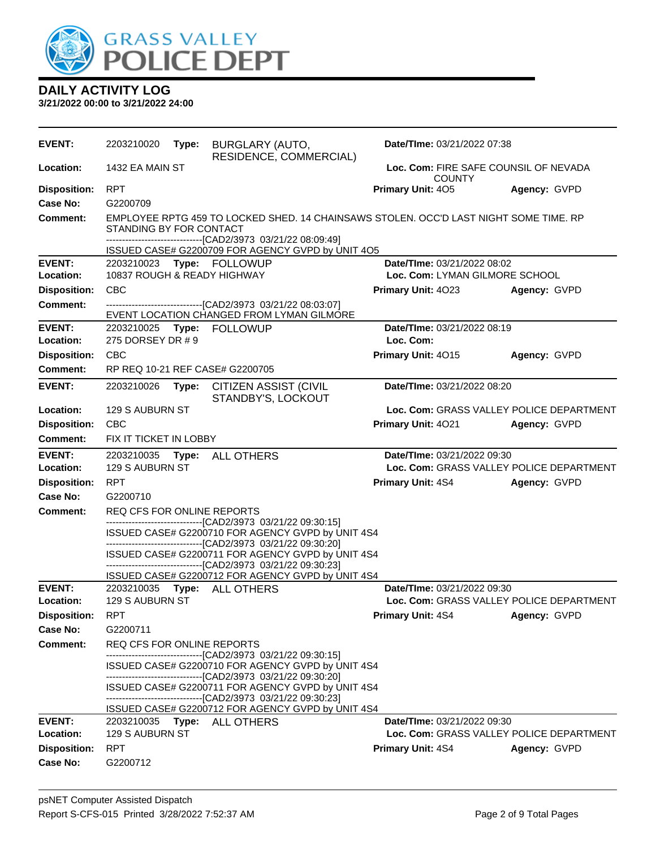

| <b>EVENT:</b>       | 2203210020                  | Type: | <b>BURGLARY (AUTO,</b><br>RESIDENCE, COMMERCIAL)                                                                   | Date/TIme: 03/21/2022 07:38    |                                          |
|---------------------|-----------------------------|-------|--------------------------------------------------------------------------------------------------------------------|--------------------------------|------------------------------------------|
| Location:           | 1432 EA MAIN ST             |       |                                                                                                                    | <b>COUNTY</b>                  | Loc. Com: FIRE SAFE COUNSIL OF NEVADA    |
| <b>Disposition:</b> | <b>RPT</b>                  |       |                                                                                                                    | Primary Unit: 405              | Agency: GVPD                             |
| Case No:            | G2200709                    |       |                                                                                                                    |                                |                                          |
| <b>Comment:</b>     | STANDING BY FOR CONTACT     |       | EMPLOYEE RPTG 459 TO LOCKED SHED. 14 CHAINSAWS STOLEN. OCC'D LAST NIGHT SOME TIME. RP                              |                                |                                          |
|                     |                             |       | --------------------------------[CAD2/3973 03/21/22 08:09:49]<br>ISSUED CASE# G2200709 FOR AGENCY GVPD by UNIT 4O5 |                                |                                          |
| <b>EVENT:</b>       |                             |       |                                                                                                                    | Date/TIme: 03/21/2022 08:02    |                                          |
| Location:           | 10837 ROUGH & READY HIGHWAY |       |                                                                                                                    | Loc. Com: LYMAN GILMORE SCHOOL |                                          |
| <b>Disposition:</b> | <b>CBC</b>                  |       |                                                                                                                    | Primary Unit: 4023             | Agency: GVPD                             |
| <b>Comment:</b>     |                             |       | --------------------------------[CAD2/3973 03/21/22 08:03:07]                                                      |                                |                                          |
|                     |                             |       | EVENT LOCATION CHANGED FROM LYMAN GILMORE                                                                          |                                |                                          |
| <b>EVENT:</b>       | 2203210025 Type:            |       | <b>FOLLOWUP</b>                                                                                                    | Date/TIme: 03/21/2022 08:19    |                                          |
| Location:           | 275 DORSEY DR # 9           |       |                                                                                                                    | Loc. Com:                      |                                          |
| <b>Disposition:</b> | <b>CBC</b>                  |       |                                                                                                                    | Primary Unit: 4015             | Agency: GVPD                             |
| Comment:            |                             |       | RP REQ 10-21 REF CASE# G2200705                                                                                    |                                |                                          |
| <b>EVENT:</b>       | 2203210026                  | Type: | CITIZEN ASSIST (CIVIL<br>STANDBY'S, LOCKOUT                                                                        | Date/TIme: 03/21/2022 08:20    |                                          |
| Location:           | 129 S AUBURN ST             |       |                                                                                                                    |                                | Loc. Com: GRASS VALLEY POLICE DEPARTMENT |
| <b>Disposition:</b> | <b>CBC</b>                  |       |                                                                                                                    | Primary Unit: 4021             | Agency: GVPD                             |
| Comment:            | FIX IT TICKET IN LOBBY      |       |                                                                                                                    |                                |                                          |
| <b>EVENT:</b>       |                             |       | 2203210035 Type: ALL OTHERS                                                                                        | Date/TIme: 03/21/2022 09:30    |                                          |
| Location:           | 129 S AUBURN ST             |       |                                                                                                                    |                                | Loc. Com: GRASS VALLEY POLICE DEPARTMENT |
| <b>Disposition:</b> | <b>RPT</b>                  |       |                                                                                                                    | <b>Primary Unit: 4S4</b>       | Agency: GVPD                             |
| Case No:            | G2200710                    |       |                                                                                                                    |                                |                                          |
| <b>Comment:</b>     | REQ CFS FOR ONLINE REPORTS  |       |                                                                                                                    |                                |                                          |
|                     |                             |       | --------------------------------[CAD2/3973 03/21/22 09:30:15]                                                      |                                |                                          |
|                     |                             |       | ISSUED CASE# G2200710 FOR AGENCY GVPD by UNIT 4S4<br>--------------------------------[CAD2/3973 03/21/22 09:30:20] |                                |                                          |
|                     |                             |       | ISSUED CASE# G2200711 FOR AGENCY GVPD by UNIT 4S4                                                                  |                                |                                          |
|                     |                             |       | -------------------------------[CAD2/3973 03/21/22 09:30:23]                                                       |                                |                                          |
| <b>EVENT:</b>       |                             |       | ISSUED CASE# G2200712 FOR AGENCY GVPD by UNIT 4S4<br>2203210035    Type: ALL OTHERS                                | Date/TIme: 03/21/2022 09:30    |                                          |
| Location:           | 129 S AUBURN ST             |       |                                                                                                                    |                                | Loc. Com: GRASS VALLEY POLICE DEPARTMENT |
| <b>Disposition:</b> | <b>RPT</b>                  |       |                                                                                                                    | Primary Unit: 4S4 Agency: GVPD |                                          |
| Case No:            | G2200711                    |       |                                                                                                                    |                                |                                          |
| Comment:            | REQ CFS FOR ONLINE REPORTS  |       |                                                                                                                    |                                |                                          |
|                     |                             |       | -----------------------------------[CAD2/3973 03/21/22 09:30:15]                                                   |                                |                                          |
|                     |                             |       | ISSUED CASE# G2200710 FOR AGENCY GVPD by UNIT 4S4                                                                  |                                |                                          |
|                     |                             |       | --------------------------------[CAD2/3973 03/21/22 09:30:20]<br>ISSUED CASE# G2200711 FOR AGENCY GVPD by UNIT 4S4 |                                |                                          |
|                     |                             |       | --------------------------------[CAD2/3973 03/21/22 09:30:23]                                                      |                                |                                          |
|                     |                             |       | ISSUED CASE# G2200712 FOR AGENCY GVPD by UNIT 4S4                                                                  |                                |                                          |
| <b>EVENT:</b>       | 2203210035                  | Type: | <b>ALL OTHERS</b>                                                                                                  | Date/TIme: 03/21/2022 09:30    |                                          |
| Location:           | 129 S AUBURN ST             |       |                                                                                                                    |                                | Loc. Com: GRASS VALLEY POLICE DEPARTMENT |
| <b>Disposition:</b> | <b>RPT</b>                  |       |                                                                                                                    | <b>Primary Unit: 4S4</b>       | Agency: GVPD                             |
| <b>Case No:</b>     | G2200712                    |       |                                                                                                                    |                                |                                          |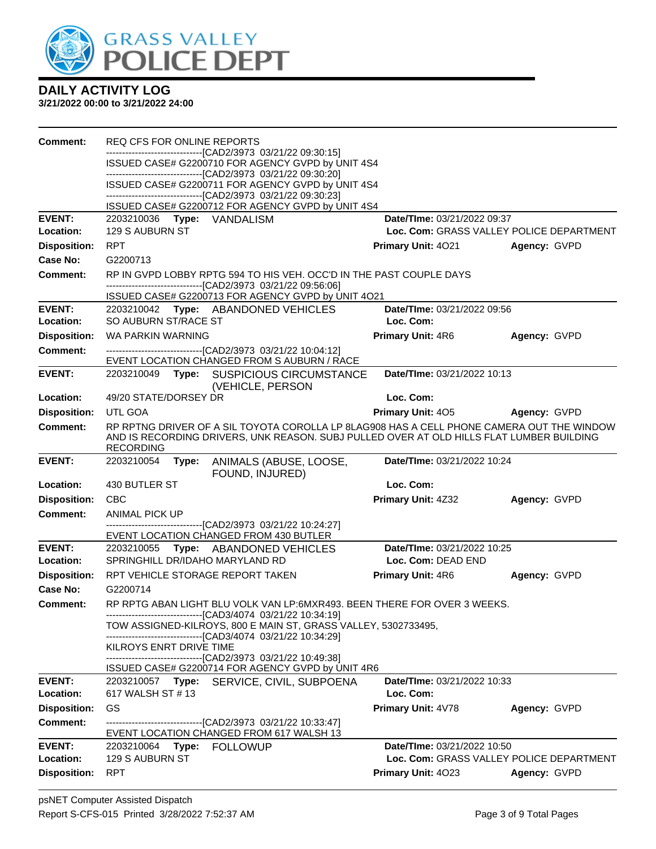

| <b>Comment:</b>             | REQ CFS FOR ONLINE REPORTS                                                                                                           |                                          |              |
|-----------------------------|--------------------------------------------------------------------------------------------------------------------------------------|------------------------------------------|--------------|
|                             | --------------------------[CAD2/3973_03/21/22_09:30:15]<br>ISSUED CASE# G2200710 FOR AGENCY GVPD by UNIT 4S4                         |                                          |              |
|                             | -------------------------------[CAD2/3973_03/21/22_09:30:20]                                                                         |                                          |              |
|                             | ISSUED CASE# G2200711 FOR AGENCY GVPD by UNIT 4S4<br>---------------------------------[CAD2/3973 03/21/22 09:30:23]                  |                                          |              |
|                             | ISSUED CASE# G2200712 FOR AGENCY GVPD by UNIT 4S4                                                                                    |                                          |              |
| <b>EVENT:</b>               | 2203210036 Type: VANDALISM                                                                                                           | Date/TIme: 03/21/2022 09:37              |              |
| Location:                   | 129 S AUBURN ST                                                                                                                      | Loc. Com: GRASS VALLEY POLICE DEPARTMENT |              |
| <b>Disposition:</b>         | <b>RPT</b>                                                                                                                           | <b>Primary Unit: 4021</b>                | Agency: GVPD |
| Case No:                    | G2200713                                                                                                                             |                                          |              |
| Comment:                    | RP IN GVPD LOBBY RPTG 594 TO HIS VEH. OCC'D IN THE PAST COUPLE DAYS<br>--------------------------------[CAD2/3973 03/21/22 09:56:06] |                                          |              |
|                             | ISSUED CASE# G2200713 FOR AGENCY GVPD by UNIT 4O21                                                                                   |                                          |              |
| <b>EVENT:</b>               | 2203210042 Type: ABANDONED VEHICLES                                                                                                  | Date/TIme: 03/21/2022 09:56              |              |
| Location:                   | SO AUBURN ST/RACE ST                                                                                                                 | Loc. Com:                                |              |
| <b>Disposition:</b>         | WA PARKIN WARNING                                                                                                                    | <b>Primary Unit: 4R6</b>                 | Agency: GVPD |
| <b>Comment:</b>             | ---------------------------[CAD2/3973_03/21/22_10:04:12]                                                                             |                                          |              |
| <b>EVENT:</b>               | EVENT LOCATION CHANGED FROM S AUBURN / RACE<br>2203210049 Type: SUSPICIOUS CIRCUMSTANCE                                              | Date/TIme: 03/21/2022 10:13              |              |
|                             | (VEHICLE, PERSON                                                                                                                     |                                          |              |
| Location:                   | 49/20 STATE/DORSEY DR                                                                                                                | Loc. Com:                                |              |
| <b>Disposition:</b>         | UTL GOA                                                                                                                              | <b>Primary Unit: 405</b>                 | Agency: GVPD |
| Comment:                    | RP RPTNG DRIVER OF A SIL TOYOTA COROLLA LP 8LAG908 HAS A CELL PHONE CAMERA OUT THE WINDOW                                            |                                          |              |
|                             | AND IS RECORDING DRIVERS, UNK REASON. SUBJ PULLED OVER AT OLD HILLS FLAT LUMBER BUILDING<br><b>RECORDING</b>                         |                                          |              |
| <b>EVENT:</b>               | 2203210054<br>ANIMALS (ABUSE, LOOSE,<br>Type:                                                                                        | Date/TIme: 03/21/2022 10:24              |              |
|                             | FOUND, INJURED)                                                                                                                      |                                          |              |
| Location:                   | 430 BUTLER ST                                                                                                                        | Loc. Com:                                |              |
| <b>Disposition:</b>         | <b>CBC</b>                                                                                                                           | <b>Primary Unit: 4Z32</b>                | Agency: GVPD |
| <b>Comment:</b>             | ANIMAL PICK UP<br>--------------------------[CAD2/3973_03/21/22 10:24:27]                                                            |                                          |              |
|                             | EVENT LOCATION CHANGED FROM 430 BUTLER                                                                                               |                                          |              |
| <b>EVENT:</b>               | <b>Type: ABANDONED VEHICLES</b><br>2203210055                                                                                        | Date/TIme: 03/21/2022 10:25              |              |
| Location:                   | SPRINGHILL DR/IDAHO MARYLAND RD                                                                                                      | Loc. Com: DEAD END                       |              |
| <b>Disposition:</b>         | RPT VEHICLE STORAGE REPORT TAKEN                                                                                                     | Primary Unit: 4R6                        | Agency: GVPD |
| Case No:<br><b>Comment:</b> | G2200714<br>RP RPTG ABAN LIGHT BLU VOLK VAN LP:6MXR493. BEEN THERE FOR OVER 3 WEEKS.                                                 |                                          |              |
|                             | --------------------------[CAD3/4074_03/21/22 10:34:19]                                                                              |                                          |              |
|                             | TOW ASSIGNED-KILROYS, 800 E MAIN ST, GRASS VALLEY, 5302733495,                                                                       |                                          |              |
|                             | ------------------------------[CAD3/4074_03/21/22 10:34:29]<br>KILROYS ENRT DRIVE TIME                                               |                                          |              |
|                             | -------------------------------[CAD2/3973_03/21/22 10:49:38]                                                                         |                                          |              |
|                             | ISSUED CASE# G2200714 FOR AGENCY GVPD by UNIT 4R6                                                                                    |                                          |              |
| <b>EVENT:</b><br>Location:  | 2203210057 Type: SERVICE, CIVIL, SUBPOENA<br>617 WALSH ST # 13                                                                       | Date/TIme: 03/21/2022 10:33<br>Loc. Com: |              |
| <b>Disposition:</b>         | GS                                                                                                                                   | Primary Unit: 4V78                       | Agency: GVPD |
| Comment:                    | -------------------------------[CAD2/3973_03/21/22_10:33:47]                                                                         |                                          |              |
|                             | EVENT LOCATION CHANGED FROM 617 WALSH 13                                                                                             |                                          |              |
| <b>EVENT:</b>               | 2203210064 Type: FOLLOWUP                                                                                                            | Date/TIme: 03/21/2022 10:50              |              |
| Location:                   | 129 S AUBURN ST                                                                                                                      | Loc. Com: GRASS VALLEY POLICE DEPARTMENT |              |
| <b>Disposition:</b>         | <b>RPT</b>                                                                                                                           | Primary Unit: 4023                       | Agency: GVPD |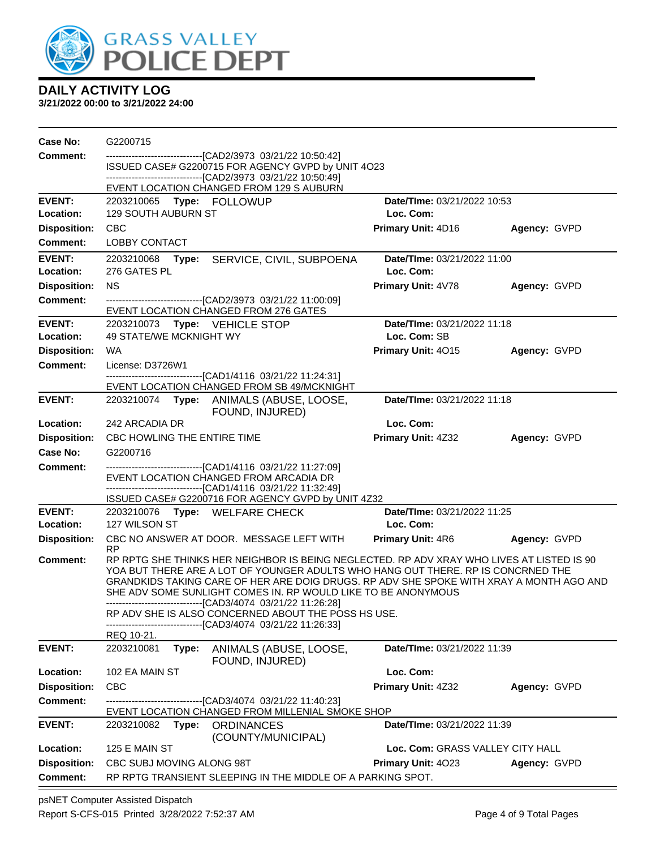

**3/21/2022 00:00 to 3/21/2022 24:00**

| Case No:                   | G2200715                                                                                                                                                                                                                                                                                                                                                                                                                                                                                                                                        |                                          |              |
|----------------------------|-------------------------------------------------------------------------------------------------------------------------------------------------------------------------------------------------------------------------------------------------------------------------------------------------------------------------------------------------------------------------------------------------------------------------------------------------------------------------------------------------------------------------------------------------|------------------------------------------|--------------|
| <b>Comment:</b>            | --------------------------------[CAD2/3973 03/21/22 10:50:42]<br>ISSUED CASE# G2200715 FOR AGENCY GVPD by UNIT 4O23                                                                                                                                                                                                                                                                                                                                                                                                                             |                                          |              |
|                            | --------------------------------[CAD2/3973 03/21/22 10:50:49]<br>EVENT LOCATION CHANGED FROM 129 S AUBURN                                                                                                                                                                                                                                                                                                                                                                                                                                       |                                          |              |
| <b>EVENT:</b>              |                                                                                                                                                                                                                                                                                                                                                                                                                                                                                                                                                 | Date/TIme: 03/21/2022 10:53              |              |
| Location:                  | <b>129 SOUTH AUBURN ST</b>                                                                                                                                                                                                                                                                                                                                                                                                                                                                                                                      | Loc. Com:                                |              |
| <b>Disposition:</b>        | <b>CBC</b>                                                                                                                                                                                                                                                                                                                                                                                                                                                                                                                                      | Primary Unit: 4D16                       | Agency: GVPD |
| <b>Comment:</b>            | <b>LOBBY CONTACT</b>                                                                                                                                                                                                                                                                                                                                                                                                                                                                                                                            |                                          |              |
| <b>EVENT:</b>              | 2203210068 Type:<br>SERVICE, CIVIL, SUBPOENA                                                                                                                                                                                                                                                                                                                                                                                                                                                                                                    | Date/TIme: 03/21/2022 11:00              |              |
| Location:                  | 276 GATES PL                                                                                                                                                                                                                                                                                                                                                                                                                                                                                                                                    | Loc. Com:                                |              |
| <b>Disposition:</b>        | <b>NS</b>                                                                                                                                                                                                                                                                                                                                                                                                                                                                                                                                       | Primary Unit: 4V78                       | Agency: GVPD |
| Comment:                   | --------------------------------[CAD2/3973 03/21/22 11:00:09]<br>EVENT LOCATION CHANGED FROM 276 GATES                                                                                                                                                                                                                                                                                                                                                                                                                                          |                                          |              |
| <b>EVENT:</b>              | 2203210073    Type: VEHICLE STOP                                                                                                                                                                                                                                                                                                                                                                                                                                                                                                                | Date/TIme: 03/21/2022 11:18              |              |
| Location:                  | 49 STATE/WE MCKNIGHT WY                                                                                                                                                                                                                                                                                                                                                                                                                                                                                                                         | Loc. Com: SB                             |              |
| <b>Disposition:</b>        | WA                                                                                                                                                                                                                                                                                                                                                                                                                                                                                                                                              | Primary Unit: 4015                       | Agency: GVPD |
| Comment:                   | License: D3726W1<br>----------------------------------[CAD1/4116 03/21/22 11:24:31]                                                                                                                                                                                                                                                                                                                                                                                                                                                             |                                          |              |
|                            | EVENT LOCATION CHANGED FROM SB 49/MCKNIGHT                                                                                                                                                                                                                                                                                                                                                                                                                                                                                                      |                                          |              |
| <b>EVENT:</b>              | 2203210074 Type: ANIMALS (ABUSE, LOOSE,<br>FOUND, INJURED)                                                                                                                                                                                                                                                                                                                                                                                                                                                                                      | Date/TIme: 03/21/2022 11:18              |              |
| Location:                  | 242 ARCADIA DR                                                                                                                                                                                                                                                                                                                                                                                                                                                                                                                                  | Loc. Com:                                |              |
| <b>Disposition:</b>        | CBC HOWLING THE ENTIRE TIME                                                                                                                                                                                                                                                                                                                                                                                                                                                                                                                     | <b>Primary Unit: 4Z32</b>                | Agency: GVPD |
| Case No:                   | G2200716                                                                                                                                                                                                                                                                                                                                                                                                                                                                                                                                        |                                          |              |
| Comment:                   | ----------------------------------[CAD1/4116 03/21/22 11:27:09]<br>EVENT LOCATION CHANGED FROM ARCADIA DR<br>--------------------------------[CAD1/4116 03/21/22 11:32:49]                                                                                                                                                                                                                                                                                                                                                                      |                                          |              |
|                            | ISSUED CASE# G2200716 FOR AGENCY GVPD by UNIT 4Z32                                                                                                                                                                                                                                                                                                                                                                                                                                                                                              |                                          |              |
| <b>EVENT:</b><br>Location: | 2203210076 Type: WELFARE CHECK<br>127 WILSON ST                                                                                                                                                                                                                                                                                                                                                                                                                                                                                                 | Date/TIme: 03/21/2022 11:25<br>Loc. Com: |              |
| <b>Disposition:</b>        | CBC NO ANSWER AT DOOR. MESSAGE LEFT WITH<br><b>RP</b>                                                                                                                                                                                                                                                                                                                                                                                                                                                                                           | <b>Primary Unit: 4R6</b>                 | Agency: GVPD |
| <b>Comment:</b>            | RP RPTG SHE THINKS HER NEIGHBOR IS BEING NEGLECTED. RP ADV XRAY WHO LIVES AT LISTED IS 90<br>YOA BUT THERE ARE A LOT OF YOUNGER ADULTS WHO HANG OUT THERE. RP IS CONCRNED THE<br>GRANDKIDS TAKING CARE OF HER ARE DOIG DRUGS. RP ADV SHE SPOKE WITH XRAY A MONTH AGO AND<br>SHE ADV SOME SUNLIGHT COMES IN. RP WOULD LIKE TO BE ANONYMOUS<br>--------------------------------[CAD3/4074 03/21/22 11:26:28]<br>RP ADV SHE IS ALSO CONCERNED ABOUT THE POSS HS USE.<br>-------------------------------[CAD3/4074 03/21/22 11:26:33]<br>REQ 10-21. |                                          |              |
| <b>EVENT:</b>              | 2203210081<br>Type:<br>ANIMALS (ABUSE, LOOSE,                                                                                                                                                                                                                                                                                                                                                                                                                                                                                                   | Date/TIme: 03/21/2022 11:39              |              |
|                            | FOUND, INJURED)                                                                                                                                                                                                                                                                                                                                                                                                                                                                                                                                 |                                          |              |
| Location:                  | 102 EA MAIN ST                                                                                                                                                                                                                                                                                                                                                                                                                                                                                                                                  | Loc. Com:                                |              |
| <b>Disposition:</b>        | <b>CBC</b>                                                                                                                                                                                                                                                                                                                                                                                                                                                                                                                                      | Primary Unit: 4Z32                       | Agency: GVPD |
| <b>Comment:</b>            | ------------------[CAD3/4074_03/21/22 11:40:23]<br>EVENT LOCATION CHANGED FROM MILLENIAL SMOKE SHOP                                                                                                                                                                                                                                                                                                                                                                                                                                             |                                          |              |
| <b>EVENT:</b>              | 2203210082 Type:<br><b>ORDINANCES</b><br>(COUNTY/MUNICIPAL)                                                                                                                                                                                                                                                                                                                                                                                                                                                                                     | Date/TIme: 03/21/2022 11:39              |              |
| Location:                  | 125 E MAIN ST                                                                                                                                                                                                                                                                                                                                                                                                                                                                                                                                   | Loc. Com: GRASS VALLEY CITY HALL         |              |
| <b>Disposition:</b>        | CBC SUBJ MOVING ALONG 98T                                                                                                                                                                                                                                                                                                                                                                                                                                                                                                                       | Primary Unit: 4023                       | Agency: GVPD |
| <b>Comment:</b>            | RP RPTG TRANSIENT SLEEPING IN THE MIDDLE OF A PARKING SPOT.                                                                                                                                                                                                                                                                                                                                                                                                                                                                                     |                                          |              |

psNET Computer Assisted Dispatch Report S-CFS-015 Printed 3/28/2022 7:52:37 AM Page 4 of 9 Total Pages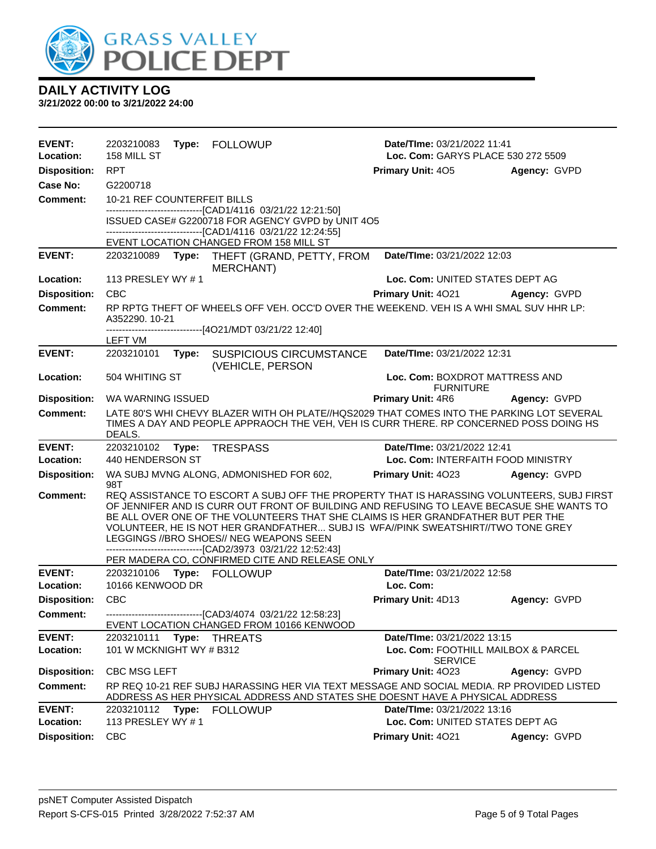

| <b>EVENT:</b>                    | 2203210083<br>158 MILL ST       |       | Type: FOLLOWUP                                                                                                                                                                                                                                                                                                                                                                                                                                                                                                             | Date/TIme: 03/21/2022 11:41                           |              |
|----------------------------------|---------------------------------|-------|----------------------------------------------------------------------------------------------------------------------------------------------------------------------------------------------------------------------------------------------------------------------------------------------------------------------------------------------------------------------------------------------------------------------------------------------------------------------------------------------------------------------------|-------------------------------------------------------|--------------|
| Location:                        |                                 |       |                                                                                                                                                                                                                                                                                                                                                                                                                                                                                                                            | Loc. Com: GARYS PLACE 530 272 5509                    |              |
| <b>Disposition:</b><br>Case No:  | <b>RPT</b><br>G2200718          |       |                                                                                                                                                                                                                                                                                                                                                                                                                                                                                                                            | <b>Primary Unit: 405</b>                              | Agency: GVPD |
| <b>Comment:</b>                  | 10-21 REF COUNTERFEIT BILLS     |       |                                                                                                                                                                                                                                                                                                                                                                                                                                                                                                                            |                                                       |              |
|                                  |                                 |       | -------------------------------[CAD1/4116 03/21/22 12:21:50]                                                                                                                                                                                                                                                                                                                                                                                                                                                               |                                                       |              |
|                                  |                                 |       | ISSUED CASE# G2200718 FOR AGENCY GVPD by UNIT 4O5<br>-------------------------------[CAD1/4116 03/21/22 12:24:55]                                                                                                                                                                                                                                                                                                                                                                                                          |                                                       |              |
|                                  |                                 |       | EVENT LOCATION CHANGED FROM 158 MILL ST                                                                                                                                                                                                                                                                                                                                                                                                                                                                                    |                                                       |              |
| <b>EVENT:</b>                    | 2203210089                      | Type: | THEFT (GRAND, PETTY, FROM<br>MERCHANT)                                                                                                                                                                                                                                                                                                                                                                                                                                                                                     | Date/TIme: 03/21/2022 12:03                           |              |
| Location:                        | 113 PRESLEY WY #1               |       |                                                                                                                                                                                                                                                                                                                                                                                                                                                                                                                            | Loc. Com: UNITED STATES DEPT AG                       |              |
| <b>Disposition:</b>              | <b>CBC</b>                      |       |                                                                                                                                                                                                                                                                                                                                                                                                                                                                                                                            | Primary Unit: 4021                                    | Agency: GVPD |
| <b>Comment:</b>                  | A352290. 10-21                  |       | RP RPTG THEFT OF WHEELS OFF VEH. OCC'D OVER THE WEEKEND. VEH IS A WHI SMAL SUV HHR LP:<br>------------------------------[4O21/MDT 03/21/22 12:40]                                                                                                                                                                                                                                                                                                                                                                          |                                                       |              |
|                                  | LEFT VM                         |       |                                                                                                                                                                                                                                                                                                                                                                                                                                                                                                                            |                                                       |              |
| <b>EVENT:</b>                    | 2203210101                      |       | Type: SUSPICIOUS CIRCUMSTANCE<br>(VEHICLE, PERSON                                                                                                                                                                                                                                                                                                                                                                                                                                                                          | Date/TIme: 03/21/2022 12:31                           |              |
| Location:                        | 504 WHITING ST                  |       |                                                                                                                                                                                                                                                                                                                                                                                                                                                                                                                            | Loc. Com: BOXDROT MATTRESS AND<br><b>FURNITURE</b>    |              |
| <b>Disposition:</b>              | WA WARNING ISSUED               |       |                                                                                                                                                                                                                                                                                                                                                                                                                                                                                                                            | Primary Unit: 4R6                                     | Agency: GVPD |
| <b>Comment:</b>                  | DEALS.                          |       | LATE 80'S WHI CHEVY BLAZER WITH OH PLATE//HQS2029 THAT COMES INTO THE PARKING LOT SEVERAL<br>TIMES A DAY AND PEOPLE APPRAOCH THE VEH, VEH IS CURR THERE. RP CONCERNED POSS DOING HS                                                                                                                                                                                                                                                                                                                                        |                                                       |              |
|                                  |                                 |       |                                                                                                                                                                                                                                                                                                                                                                                                                                                                                                                            |                                                       |              |
| <b>EVENT:</b>                    |                                 |       | 2203210102 Type: TRESPASS                                                                                                                                                                                                                                                                                                                                                                                                                                                                                                  | Date/TIme: 03/21/2022 12:41                           |              |
| Location:                        | 440 HENDERSON ST                |       |                                                                                                                                                                                                                                                                                                                                                                                                                                                                                                                            | Loc. Com: INTERFAITH FOOD MINISTRY                    |              |
| <b>Disposition:</b>              | 98T                             |       | WA SUBJ MVNG ALONG, ADMONISHED FOR 602,                                                                                                                                                                                                                                                                                                                                                                                                                                                                                    | Primary Unit: 4023                                    | Agency: GVPD |
| <b>Comment:</b>                  |                                 |       | REQ ASSISTANCE TO ESCORT A SUBJ OFF THE PROPERTY THAT IS HARASSING VOLUNTEERS, SUBJ FIRST<br>OF JENNIFER AND IS CURR OUT FRONT OF BUILDING AND REFUSING TO LEAVE BECASUE SHE WANTS TO<br>BE ALL OVER ONE OF THE VOLUNTEERS THAT SHE CLAIMS IS HER GRANDFATHER BUT PER THE<br>VOLUNTEER, HE IS NOT HER GRANDFATHER SUBJ IS WFA//PINK SWEATSHIRT//TWO TONE GREY<br>LEGGINGS //BRO SHOES// NEG WEAPONS SEEN<br>-------------------------------[CAD2/3973 03/21/22 12:52:43]<br>PER MADERA CO, CONFIRMED CITE AND RELEASE ONLY |                                                       |              |
| <b>EVENT:</b>                    |                                 |       | 2203210106    Type: FOLLOWUP                                                                                                                                                                                                                                                                                                                                                                                                                                                                                               | Date/TIme: 03/21/2022 12:58                           |              |
| Location:                        | 10166 KENWOOD DR                |       |                                                                                                                                                                                                                                                                                                                                                                                                                                                                                                                            | Loc. Com:                                             |              |
| <b>Disposition:</b>              | <b>CBC</b>                      |       |                                                                                                                                                                                                                                                                                                                                                                                                                                                                                                                            | Primary Unit: 4D13                                    | Agency: GVPD |
| <b>Comment:</b>                  |                                 |       | ------------------------------[CAD3/4074 03/21/22 12:58:23]<br>EVENT LOCATION CHANGED FROM 10166 KENWOOD                                                                                                                                                                                                                                                                                                                                                                                                                   |                                                       |              |
| <b>EVENT:</b>                    | 2203210111                      | Type: | THREATS                                                                                                                                                                                                                                                                                                                                                                                                                                                                                                                    | Date/TIme: 03/21/2022 13:15                           |              |
| Location:                        | 101 W MCKNIGHT WY # B312        |       |                                                                                                                                                                                                                                                                                                                                                                                                                                                                                                                            | Loc. Com: FOOTHILL MAILBOX & PARCEL                   |              |
| <b>Disposition:</b>              | <b>CBC MSG LEFT</b>             |       |                                                                                                                                                                                                                                                                                                                                                                                                                                                                                                                            | <b>SERVICE</b><br>Primary Unit: 4023                  | Agency: GVPD |
| <b>Comment:</b>                  |                                 |       | RP REQ 10-21 REF SUBJ HARASSING HER VIA TEXT MESSAGE AND SOCIAL MEDIA. RP PROVIDED LISTED<br>ADDRESS AS HER PHYSICAL ADDRESS AND STATES SHE DOESNT HAVE A PHYSICAL ADDRESS                                                                                                                                                                                                                                                                                                                                                 |                                                       |              |
| <b>EVENT:</b>                    |                                 |       | 2203210112 Type: FOLLOWUP                                                                                                                                                                                                                                                                                                                                                                                                                                                                                                  | Date/TIme: 03/21/2022 13:16                           |              |
| Location:<br><b>Disposition:</b> | 113 PRESLEY WY #1<br><b>CBC</b> |       |                                                                                                                                                                                                                                                                                                                                                                                                                                                                                                                            | Loc. Com: UNITED STATES DEPT AG<br>Primary Unit: 4021 | Agency: GVPD |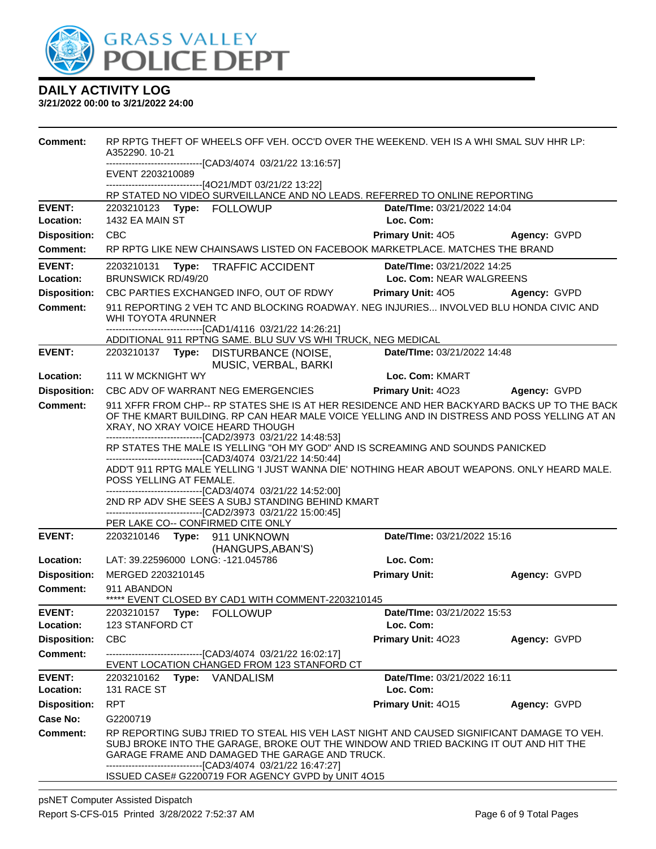

| -------------------------------[CAD3/4074_03/21/22 13:16:57]<br>EVENT 2203210089<br>------------------------------[4O21/MDT 03/21/22 13:22]<br>RP STATED NO VIDEO SURVEILLANCE AND NO LEADS. REFERRED TO ONLINE REPORTING<br><b>EVENT:</b><br>2203210123 Type: FOLLOWUP<br>Date/TIme: 03/21/2022 14:04<br>1432 EA MAIN ST<br>Loc. Com:<br>Location:<br><b>Disposition:</b><br><b>CBC</b><br><b>Primary Unit: 405</b><br>Agency: GVPD<br>RP RPTG LIKE NEW CHAINSAWS LISTED ON FACEBOOK MARKETPLACE. MATCHES THE BRAND<br>Comment:<br><b>EVENT:</b><br>Date/Time: 03/21/2022 14:25<br>2203210131 Type: TRAFFIC ACCIDENT<br><b>BRUNSWICK RD/49/20</b><br>Loc. Com: NEAR WALGREENS<br>Location:<br><b>Disposition:</b><br><b>Primary Unit: 405</b><br>CBC PARTIES EXCHANGED INFO, OUT OF RDWY<br>Agency: GVPD<br>911 REPORTING 2 VEH TC AND BLOCKING ROADWAY. NEG INJURIES INVOLVED BLU HONDA CIVIC AND<br><b>Comment:</b><br>WHI TOYOTA 4RUNNER<br>----------------------[CAD1/4116  03/21/22 14:26:21]<br>ADDITIONAL 911 RPTNG SAME. BLU SUV VS WHI TRUCK, NEG MEDICAL<br><b>EVENT:</b><br>Date/TIme: 03/21/2022 14:48<br>2203210137 Type: DISTURBANCE (NOISE,<br>MUSIC, VERBAL, BARKI<br>Loc. Com: KMART<br>Location:<br>111 W MCKNIGHT WY<br><b>Disposition:</b><br>CBC ADV OF WARRANT NEG EMERGENCIES<br><b>Primary Unit: 4023</b><br>Agency: GVPD<br><b>Comment:</b><br>911 XFFR FROM CHP-- RP STATES SHE IS AT HER RESIDENCE AND HER BACKYARD BACKS UP TO THE BACK<br>OF THE KMART BUILDING. RP CAN HEAR MALE VOICE YELLING AND IN DISTRESS AND POSS YELLING AT AN<br>XRAY, NO XRAY VOICE HEARD THOUGH<br>-------------------------------[CAD2/3973 03/21/22 14:48:53]<br>RP STATES THE MALE IS YELLING "OH MY GOD" AND IS SCREAMING AND SOUNDS PANICKED<br>------------------------------[CAD3/4074 03/21/22 14:50:44]<br>ADD'T 911 RPTG MALE YELLING 'I JUST WANNA DIE' NOTHING HEAR ABOUT WEAPONS. ONLY HEARD MALE.<br>POSS YELLING AT FEMALE.<br>-------------------------------[CAD3/4074_03/21/22 14:52:00]<br>2ND RP ADV SHE SEES A SUBJ STANDING BEHIND KMART<br>-------------------------------[CAD2/3973_03/21/22_15:00:45]<br>PER LAKE CO-- CONFIRMED CITE ONLY |  |  |  |  |  |
|-------------------------------------------------------------------------------------------------------------------------------------------------------------------------------------------------------------------------------------------------------------------------------------------------------------------------------------------------------------------------------------------------------------------------------------------------------------------------------------------------------------------------------------------------------------------------------------------------------------------------------------------------------------------------------------------------------------------------------------------------------------------------------------------------------------------------------------------------------------------------------------------------------------------------------------------------------------------------------------------------------------------------------------------------------------------------------------------------------------------------------------------------------------------------------------------------------------------------------------------------------------------------------------------------------------------------------------------------------------------------------------------------------------------------------------------------------------------------------------------------------------------------------------------------------------------------------------------------------------------------------------------------------------------------------------------------------------------------------------------------------------------------------------------------------------------------------------------------------------------------------------------------------------------------------------------------------------------------------------------------------------------------------------------------------------------------------------------------------------------------------------------------------------------------------|--|--|--|--|--|
|                                                                                                                                                                                                                                                                                                                                                                                                                                                                                                                                                                                                                                                                                                                                                                                                                                                                                                                                                                                                                                                                                                                                                                                                                                                                                                                                                                                                                                                                                                                                                                                                                                                                                                                                                                                                                                                                                                                                                                                                                                                                                                                                                                               |  |  |  |  |  |
|                                                                                                                                                                                                                                                                                                                                                                                                                                                                                                                                                                                                                                                                                                                                                                                                                                                                                                                                                                                                                                                                                                                                                                                                                                                                                                                                                                                                                                                                                                                                                                                                                                                                                                                                                                                                                                                                                                                                                                                                                                                                                                                                                                               |  |  |  |  |  |
|                                                                                                                                                                                                                                                                                                                                                                                                                                                                                                                                                                                                                                                                                                                                                                                                                                                                                                                                                                                                                                                                                                                                                                                                                                                                                                                                                                                                                                                                                                                                                                                                                                                                                                                                                                                                                                                                                                                                                                                                                                                                                                                                                                               |  |  |  |  |  |
|                                                                                                                                                                                                                                                                                                                                                                                                                                                                                                                                                                                                                                                                                                                                                                                                                                                                                                                                                                                                                                                                                                                                                                                                                                                                                                                                                                                                                                                                                                                                                                                                                                                                                                                                                                                                                                                                                                                                                                                                                                                                                                                                                                               |  |  |  |  |  |
|                                                                                                                                                                                                                                                                                                                                                                                                                                                                                                                                                                                                                                                                                                                                                                                                                                                                                                                                                                                                                                                                                                                                                                                                                                                                                                                                                                                                                                                                                                                                                                                                                                                                                                                                                                                                                                                                                                                                                                                                                                                                                                                                                                               |  |  |  |  |  |
|                                                                                                                                                                                                                                                                                                                                                                                                                                                                                                                                                                                                                                                                                                                                                                                                                                                                                                                                                                                                                                                                                                                                                                                                                                                                                                                                                                                                                                                                                                                                                                                                                                                                                                                                                                                                                                                                                                                                                                                                                                                                                                                                                                               |  |  |  |  |  |
|                                                                                                                                                                                                                                                                                                                                                                                                                                                                                                                                                                                                                                                                                                                                                                                                                                                                                                                                                                                                                                                                                                                                                                                                                                                                                                                                                                                                                                                                                                                                                                                                                                                                                                                                                                                                                                                                                                                                                                                                                                                                                                                                                                               |  |  |  |  |  |
|                                                                                                                                                                                                                                                                                                                                                                                                                                                                                                                                                                                                                                                                                                                                                                                                                                                                                                                                                                                                                                                                                                                                                                                                                                                                                                                                                                                                                                                                                                                                                                                                                                                                                                                                                                                                                                                                                                                                                                                                                                                                                                                                                                               |  |  |  |  |  |
|                                                                                                                                                                                                                                                                                                                                                                                                                                                                                                                                                                                                                                                                                                                                                                                                                                                                                                                                                                                                                                                                                                                                                                                                                                                                                                                                                                                                                                                                                                                                                                                                                                                                                                                                                                                                                                                                                                                                                                                                                                                                                                                                                                               |  |  |  |  |  |
|                                                                                                                                                                                                                                                                                                                                                                                                                                                                                                                                                                                                                                                                                                                                                                                                                                                                                                                                                                                                                                                                                                                                                                                                                                                                                                                                                                                                                                                                                                                                                                                                                                                                                                                                                                                                                                                                                                                                                                                                                                                                                                                                                                               |  |  |  |  |  |
|                                                                                                                                                                                                                                                                                                                                                                                                                                                                                                                                                                                                                                                                                                                                                                                                                                                                                                                                                                                                                                                                                                                                                                                                                                                                                                                                                                                                                                                                                                                                                                                                                                                                                                                                                                                                                                                                                                                                                                                                                                                                                                                                                                               |  |  |  |  |  |
|                                                                                                                                                                                                                                                                                                                                                                                                                                                                                                                                                                                                                                                                                                                                                                                                                                                                                                                                                                                                                                                                                                                                                                                                                                                                                                                                                                                                                                                                                                                                                                                                                                                                                                                                                                                                                                                                                                                                                                                                                                                                                                                                                                               |  |  |  |  |  |
|                                                                                                                                                                                                                                                                                                                                                                                                                                                                                                                                                                                                                                                                                                                                                                                                                                                                                                                                                                                                                                                                                                                                                                                                                                                                                                                                                                                                                                                                                                                                                                                                                                                                                                                                                                                                                                                                                                                                                                                                                                                                                                                                                                               |  |  |  |  |  |
|                                                                                                                                                                                                                                                                                                                                                                                                                                                                                                                                                                                                                                                                                                                                                                                                                                                                                                                                                                                                                                                                                                                                                                                                                                                                                                                                                                                                                                                                                                                                                                                                                                                                                                                                                                                                                                                                                                                                                                                                                                                                                                                                                                               |  |  |  |  |  |
|                                                                                                                                                                                                                                                                                                                                                                                                                                                                                                                                                                                                                                                                                                                                                                                                                                                                                                                                                                                                                                                                                                                                                                                                                                                                                                                                                                                                                                                                                                                                                                                                                                                                                                                                                                                                                                                                                                                                                                                                                                                                                                                                                                               |  |  |  |  |  |
| <b>EVENT:</b><br>Date/TIme: 03/21/2022 15:16<br>2203210146    Type: 911    UNKNOWN                                                                                                                                                                                                                                                                                                                                                                                                                                                                                                                                                                                                                                                                                                                                                                                                                                                                                                                                                                                                                                                                                                                                                                                                                                                                                                                                                                                                                                                                                                                                                                                                                                                                                                                                                                                                                                                                                                                                                                                                                                                                                            |  |  |  |  |  |
| (HANGUPS, ABAN'S)                                                                                                                                                                                                                                                                                                                                                                                                                                                                                                                                                                                                                                                                                                                                                                                                                                                                                                                                                                                                                                                                                                                                                                                                                                                                                                                                                                                                                                                                                                                                                                                                                                                                                                                                                                                                                                                                                                                                                                                                                                                                                                                                                             |  |  |  |  |  |
| LAT: 39.22596000 LONG: -121.045786<br>Loc. Com:<br>Location:                                                                                                                                                                                                                                                                                                                                                                                                                                                                                                                                                                                                                                                                                                                                                                                                                                                                                                                                                                                                                                                                                                                                                                                                                                                                                                                                                                                                                                                                                                                                                                                                                                                                                                                                                                                                                                                                                                                                                                                                                                                                                                                  |  |  |  |  |  |
| <b>Disposition:</b><br><b>Primary Unit:</b><br>MERGED 2203210145<br>Agency: GVPD                                                                                                                                                                                                                                                                                                                                                                                                                                                                                                                                                                                                                                                                                                                                                                                                                                                                                                                                                                                                                                                                                                                                                                                                                                                                                                                                                                                                                                                                                                                                                                                                                                                                                                                                                                                                                                                                                                                                                                                                                                                                                              |  |  |  |  |  |
| Comment:<br>911 ABANDON<br>***** EVENT CLOSED BY CAD1 WITH COMMENT-2203210145                                                                                                                                                                                                                                                                                                                                                                                                                                                                                                                                                                                                                                                                                                                                                                                                                                                                                                                                                                                                                                                                                                                                                                                                                                                                                                                                                                                                                                                                                                                                                                                                                                                                                                                                                                                                                                                                                                                                                                                                                                                                                                 |  |  |  |  |  |
| <b>EVENT:</b><br>Date/TIme: 03/21/2022 15:53                                                                                                                                                                                                                                                                                                                                                                                                                                                                                                                                                                                                                                                                                                                                                                                                                                                                                                                                                                                                                                                                                                                                                                                                                                                                                                                                                                                                                                                                                                                                                                                                                                                                                                                                                                                                                                                                                                                                                                                                                                                                                                                                  |  |  |  |  |  |
| 123 STANFORD CT<br>Location:<br>Loc. Com:                                                                                                                                                                                                                                                                                                                                                                                                                                                                                                                                                                                                                                                                                                                                                                                                                                                                                                                                                                                                                                                                                                                                                                                                                                                                                                                                                                                                                                                                                                                                                                                                                                                                                                                                                                                                                                                                                                                                                                                                                                                                                                                                     |  |  |  |  |  |
| <b>Disposition:</b><br><b>CBC</b><br>Primary Unit: 4023<br>Agency: GVPD                                                                                                                                                                                                                                                                                                                                                                                                                                                                                                                                                                                                                                                                                                                                                                                                                                                                                                                                                                                                                                                                                                                                                                                                                                                                                                                                                                                                                                                                                                                                                                                                                                                                                                                                                                                                                                                                                                                                                                                                                                                                                                       |  |  |  |  |  |
| <b>Comment:</b><br>-------------------------------[CAD3/4074 03/21/22 16:02:17]<br>EVENT LOCATION CHANGED FROM 123 STANFORD CT                                                                                                                                                                                                                                                                                                                                                                                                                                                                                                                                                                                                                                                                                                                                                                                                                                                                                                                                                                                                                                                                                                                                                                                                                                                                                                                                                                                                                                                                                                                                                                                                                                                                                                                                                                                                                                                                                                                                                                                                                                                |  |  |  |  |  |
| Date/TIme: 03/21/2022 16:11<br><b>EVENT:</b><br>2203210162 Type: VANDALISM<br>131 RACE ST<br>Loc. Com:<br>Location:                                                                                                                                                                                                                                                                                                                                                                                                                                                                                                                                                                                                                                                                                                                                                                                                                                                                                                                                                                                                                                                                                                                                                                                                                                                                                                                                                                                                                                                                                                                                                                                                                                                                                                                                                                                                                                                                                                                                                                                                                                                           |  |  |  |  |  |
| <b>Disposition:</b><br><b>RPT</b><br>Primary Unit: 4015<br>Agency: GVPD                                                                                                                                                                                                                                                                                                                                                                                                                                                                                                                                                                                                                                                                                                                                                                                                                                                                                                                                                                                                                                                                                                                                                                                                                                                                                                                                                                                                                                                                                                                                                                                                                                                                                                                                                                                                                                                                                                                                                                                                                                                                                                       |  |  |  |  |  |
| Case No:<br>G2200719                                                                                                                                                                                                                                                                                                                                                                                                                                                                                                                                                                                                                                                                                                                                                                                                                                                                                                                                                                                                                                                                                                                                                                                                                                                                                                                                                                                                                                                                                                                                                                                                                                                                                                                                                                                                                                                                                                                                                                                                                                                                                                                                                          |  |  |  |  |  |
| RP REPORTING SUBJ TRIED TO STEAL HIS VEH LAST NIGHT AND CAUSED SIGNIFICANT DAMAGE TO VEH.<br><b>Comment:</b><br>SUBJ BROKE INTO THE GARAGE, BROKE OUT THE WINDOW AND TRIED BACKING IT OUT AND HIT THE<br>GARAGE FRAME AND DAMAGED THE GARAGE AND TRUCK.<br>-------------------------------[CAD3/4074_03/21/22 16:47:27]<br>ISSUED CASE# G2200719 FOR AGENCY GVPD by UNIT 4O15                                                                                                                                                                                                                                                                                                                                                                                                                                                                                                                                                                                                                                                                                                                                                                                                                                                                                                                                                                                                                                                                                                                                                                                                                                                                                                                                                                                                                                                                                                                                                                                                                                                                                                                                                                                                 |  |  |  |  |  |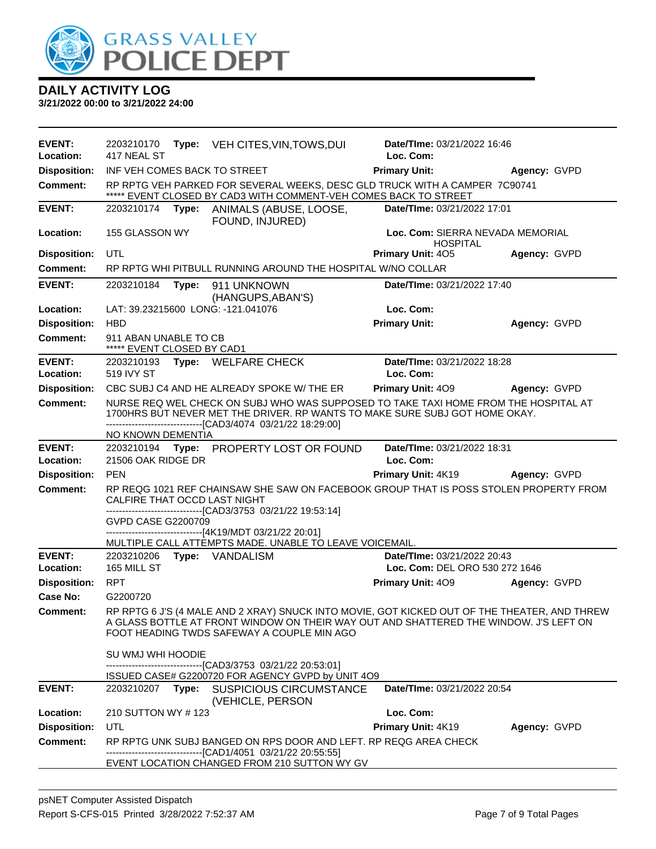

| EVENT:<br>Location:        | 2203210170<br>417 NEAL ST                           | <b>Type:</b> VEH CITES, VIN, TOWS, DUI                                                                                                                                                                                              | Date/TIme: 03/21/2022 16:46<br>Loc. Com:                      |              |
|----------------------------|-----------------------------------------------------|-------------------------------------------------------------------------------------------------------------------------------------------------------------------------------------------------------------------------------------|---------------------------------------------------------------|--------------|
| <b>Disposition:</b>        | INF VEH COMES BACK TO STREET                        |                                                                                                                                                                                                                                     | <b>Primary Unit:</b>                                          | Agency: GVPD |
| <b>Comment:</b>            |                                                     | RP RPTG VEH PARKED FOR SEVERAL WEEKS, DESC GLD TRUCK WITH A CAMPER 7C90741<br>***** EVENT CLOSED BY CAD3 WITH COMMENT-VEH COMES BACK TO STREET                                                                                      |                                                               |              |
| <b>EVENT:</b>              | 2203210174                                          | Type: ANIMALS (ABUSE, LOOSE,<br>FOUND, INJURED)                                                                                                                                                                                     | Date/TIme: 03/21/2022 17:01                                   |              |
| Location:                  | 155 GLASSON WY                                      |                                                                                                                                                                                                                                     | Loc. Com: SIERRA NEVADA MEMORIAL<br><b>HOSPITAL</b>           |              |
| <b>Disposition:</b>        | UTL                                                 |                                                                                                                                                                                                                                     | Primary Unit: 405                                             | Agency: GVPD |
| <b>Comment:</b>            |                                                     | RP RPTG WHI PITBULL RUNNING AROUND THE HOSPITAL W/NO COLLAR                                                                                                                                                                         |                                                               |              |
| <b>EVENT:</b>              | 2203210184                                          | Type: 911 UNKNOWN<br>(HANGUPS, ABAN'S)                                                                                                                                                                                              | Date/TIme: 03/21/2022 17:40                                   |              |
| Location:                  |                                                     | LAT: 39.23215600 LONG: -121.041076                                                                                                                                                                                                  | Loc. Com:                                                     |              |
| <b>Disposition:</b>        | <b>HBD</b>                                          |                                                                                                                                                                                                                                     | <b>Primary Unit:</b>                                          | Agency: GVPD |
| <b>Comment:</b>            | 911 ABAN UNABLE TO CB<br>***** EVENT CLOSED BY CAD1 |                                                                                                                                                                                                                                     |                                                               |              |
| <b>EVENT:</b><br>Location: | 519 IVY ST                                          | 2203210193 Type: WELFARE CHECK                                                                                                                                                                                                      | Date/TIme: 03/21/2022 18:28<br>Loc. Com:                      |              |
| <b>Disposition:</b>        |                                                     | CBC SUBJ C4 AND HE ALREADY SPOKE W/ THE ER                                                                                                                                                                                          | <b>Primary Unit: 409</b>                                      | Agency: GVPD |
| <b>Comment:</b>            |                                                     | NURSE REQ WEL CHECK ON SUBJ WHO WAS SUPPOSED TO TAKE TAXI HOME FROM THE HOSPITAL AT<br>1700HRS BUT NEVER MET THE DRIVER. RP WANTS TO MAKE SURE SUBJ GOT HOME OKAY.<br>-------------------------------[CAD3/4074 03/21/22 18:29:00]  |                                                               |              |
| <b>EVENT:</b>              | NO KNOWN DEMENTIA                                   |                                                                                                                                                                                                                                     |                                                               |              |
| Location:                  | 21506 OAK RIDGE DR                                  | 2203210194 Type: PROPERTY LOST OR FOUND                                                                                                                                                                                             | Date/TIme: 03/21/2022 18:31<br>Loc. Com:                      |              |
| <b>Disposition:</b>        | <b>PEN</b>                                          |                                                                                                                                                                                                                                     | Primary Unit: 4K19                                            | Agency: GVPD |
| <b>Comment:</b>            | CALFIRE THAT OCCD LAST NIGHT                        | RP REQG 1021 REF CHAINSAW SHE SAW ON FACEBOOK GROUP THAT IS POSS STOLEN PROPERTY FROM<br>-------------------------------[CAD3/3753 03/21/22 19:53:14]                                                                               |                                                               |              |
|                            | GVPD CASE G2200709                                  | ------------------------------[4K19/MDT 03/21/22 20:01]                                                                                                                                                                             |                                                               |              |
|                            |                                                     | MULTIPLE CALL ATTEMPTS MADE. UNABLE TO LEAVE VOICEMAIL.                                                                                                                                                                             |                                                               |              |
| <b>EVENT:</b><br>Location: | 165 MILL ST                                         | 2203210206    Type: VANDALISM                                                                                                                                                                                                       | Date/TIme: 03/21/2022 20:43<br>Loc. Com: DEL ORO 530 272 1646 |              |
| <b>Disposition:</b>        | RPT                                                 |                                                                                                                                                                                                                                     | <b>Primary Unit: 409</b>                                      | Agency: GVPD |
| Case No:                   | G2200720                                            |                                                                                                                                                                                                                                     |                                                               |              |
| Comment:                   |                                                     | RP RPTG 6 J'S (4 MALE AND 2 XRAY) SNUCK INTO MOVIE, GOT KICKED OUT OF THE THEATER, AND THREW<br>A GLASS BOTTLE AT FRONT WINDOW ON THEIR WAY OUT AND SHATTERED THE WINDOW. J'S LEFT ON<br>FOOT HEADING TWDS SAFEWAY A COUPLE MIN AGO |                                                               |              |
|                            | SU WMJ WHI HOODIE                                   | ---------------------------------[CAD3/3753 03/21/22 20:53:01]<br>ISSUED CASE# G2200720 FOR AGENCY GVPD by UNIT 4O9                                                                                                                 |                                                               |              |
| <b>EVENT:</b>              |                                                     | 2203210207 Type: SUSPICIOUS CIRCUMSTANCE<br>(VEHICLE, PERSON                                                                                                                                                                        | Date/TIme: 03/21/2022 20:54                                   |              |
| Location:                  | 210 SUTTON WY #123                                  |                                                                                                                                                                                                                                     | Loc. Com:                                                     |              |
| <b>Disposition:</b>        | UTL                                                 |                                                                                                                                                                                                                                     | Primary Unit: 4K19                                            | Agency: GVPD |
| <b>Comment:</b>            |                                                     | RP RPTG UNK SUBJ BANGED ON RPS DOOR AND LEFT. RP REQG AREA CHECK                                                                                                                                                                    |                                                               |              |
|                            |                                                     | EVENT LOCATION CHANGED FROM 210 SUTTON WY GV                                                                                                                                                                                        |                                                               |              |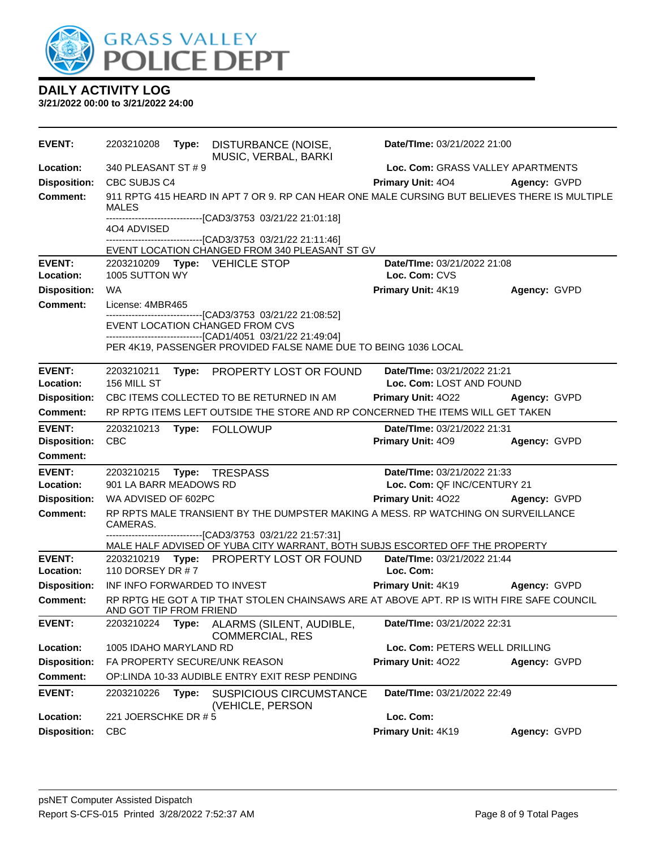

| <b>EVENT:</b>       | 2203210208                   | Type: | DISTURBANCE (NOISE,<br>MUSIC, VERBAL, BARKI                                                                                                   | Date/TIme: 03/21/2022 21:00       |              |  |
|---------------------|------------------------------|-------|-----------------------------------------------------------------------------------------------------------------------------------------------|-----------------------------------|--------------|--|
| Location:           | 340 PLEASANT ST # 9          |       |                                                                                                                                               | Loc. Com: GRASS VALLEY APARTMENTS |              |  |
| <b>Disposition:</b> | CBC SUBJS C4                 |       |                                                                                                                                               | <b>Primary Unit: 404</b>          | Agency: GVPD |  |
| <b>Comment:</b>     | MALES                        |       | 911 RPTG 415 HEARD IN APT 7 OR 9. RP CAN HEAR ONE MALE CURSING BUT BELIEVES THERE IS MULTIPLE                                                 |                                   |              |  |
|                     | 4O4 ADVISED                  |       | -------------------------------[CAD3/3753_03/21/22                          21:01:18]                                                         |                                   |              |  |
|                     |                              |       | ----------------------------[CAD3/3753_03/21/22_21:11:46]<br>EVENT LOCATION CHANGED FROM 340 PLEASANT ST GV                                   |                                   |              |  |
| <b>EVENT:</b>       |                              |       | 2203210209    Type: VEHICLE STOP                                                                                                              | Date/TIme: 03/21/2022 21:08       |              |  |
| Location:           | 1005 SUTTON WY               |       |                                                                                                                                               | Loc. Com: CVS                     |              |  |
| <b>Disposition:</b> | WA                           |       |                                                                                                                                               | Primary Unit: 4K19                | Agency: GVPD |  |
| <b>Comment:</b>     | License: 4MBR465             |       | --------------------------------[CAD3/3753 03/21/22 21:08:52]                                                                                 |                                   |              |  |
|                     |                              |       | EVENT LOCATION CHANGED FROM CVS                                                                                                               |                                   |              |  |
|                     |                              |       | -------------------------------[CAD1/4051 03/21/22 21:49:04]<br>PER 4K19, PASSENGER PROVIDED FALSE NAME DUE TO BEING 1036 LOCAL               |                                   |              |  |
| <b>EVENT:</b>       | 2203210211                   |       | Type: PROPERTY LOST OR FOUND                                                                                                                  | Date/TIme: 03/21/2022 21:21       |              |  |
| Location:           | 156 MILL ST                  |       |                                                                                                                                               | Loc. Com: LOST AND FOUND          |              |  |
| <b>Disposition:</b> |                              |       | CBC ITEMS COLLECTED TO BE RETURNED IN AM                                                                                                      | <b>Primary Unit: 4022</b>         | Agency: GVPD |  |
| Comment:            |                              |       | RP RPTG ITEMS LEFT OUTSIDE THE STORE AND RP CONCERNED THE ITEMS WILL GET TAKEN                                                                |                                   |              |  |
| <b>EVENT:</b>       | 2203210213                   |       | Type: FOLLOWUP                                                                                                                                | Date/TIme: 03/21/2022 21:31       |              |  |
| <b>Disposition:</b> | <b>CBC</b>                   |       |                                                                                                                                               | <b>Primary Unit: 409</b>          | Agency: GVPD |  |
| Comment:            |                              |       |                                                                                                                                               |                                   |              |  |
| <b>EVENT:</b>       | 2203210215                   |       | Type: TRESPASS                                                                                                                                | Date/TIme: 03/21/2022 21:33       |              |  |
| Location:           | 901 LA BARR MEADOWS RD       |       |                                                                                                                                               | Loc. Com: QF INC/CENTURY 21       |              |  |
| <b>Disposition:</b> | WA ADVISED OF 602PC          |       |                                                                                                                                               | <b>Primary Unit: 4022</b>         | Agency: GVPD |  |
| <b>Comment:</b>     | CAMERAS.                     |       | RP RPTS MALE TRANSIENT BY THE DUMPSTER MAKING A MESS. RP WATCHING ON SURVEILLANCE<br>---------------------------[CAD3/3753_03/21/22_21:57:31] |                                   |              |  |
|                     |                              |       | MALE HALF ADVISED OF YUBA CITY WARRANT, BOTH SUBJS ESCORTED OFF THE PROPERTY                                                                  |                                   |              |  |
| <b>EVENT:</b>       |                              |       | 2203210219 Type: PROPERTY LOST OR FOUND                                                                                                       | Date/TIme: 03/21/2022 21:44       |              |  |
| Location:           | 110 DORSEY DR # 7            |       |                                                                                                                                               | Loc. Com:                         |              |  |
| <b>Disposition:</b> | INF INFO FORWARDED TO INVEST |       |                                                                                                                                               | Primary Unit: 4K19 Agency: GVPD   |              |  |
| <b>Comment:</b>     | AND GOT TIP FROM FRIEND      |       | RP RPTG HE GOT A TIP THAT STOLEN CHAINSAWS ARE AT ABOVE APT. RP IS WITH FIRE SAFE COUNCIL                                                     |                                   |              |  |
| <b>EVENT:</b>       | 2203210224                   | Type: | ALARMS (SILENT, AUDIBLE,<br><b>COMMERCIAL, RES</b>                                                                                            | Date/TIme: 03/21/2022 22:31       |              |  |
| Location:           | 1005 IDAHO MARYLAND RD       |       |                                                                                                                                               | Loc. Com: PETERS WELL DRILLING    |              |  |
| <b>Disposition:</b> |                              |       | FA PROPERTY SECURE/UNK REASON                                                                                                                 | Primary Unit: 4022                | Agency: GVPD |  |
| <b>Comment:</b>     |                              |       | OP:LINDA 10-33 AUDIBLE ENTRY EXIT RESP PENDING                                                                                                |                                   |              |  |
| <b>EVENT:</b>       | 2203210226                   | Type: | <b>SUSPICIOUS CIRCUMSTANCE</b><br>(VEHICLE, PERSON                                                                                            | Date/TIme: 03/21/2022 22:49       |              |  |
| Location:           | 221 JOERSCHKE DR # 5         |       |                                                                                                                                               | Loc. Com:                         |              |  |
| <b>Disposition:</b> | <b>CBC</b>                   |       |                                                                                                                                               | Primary Unit: 4K19                | Agency: GVPD |  |